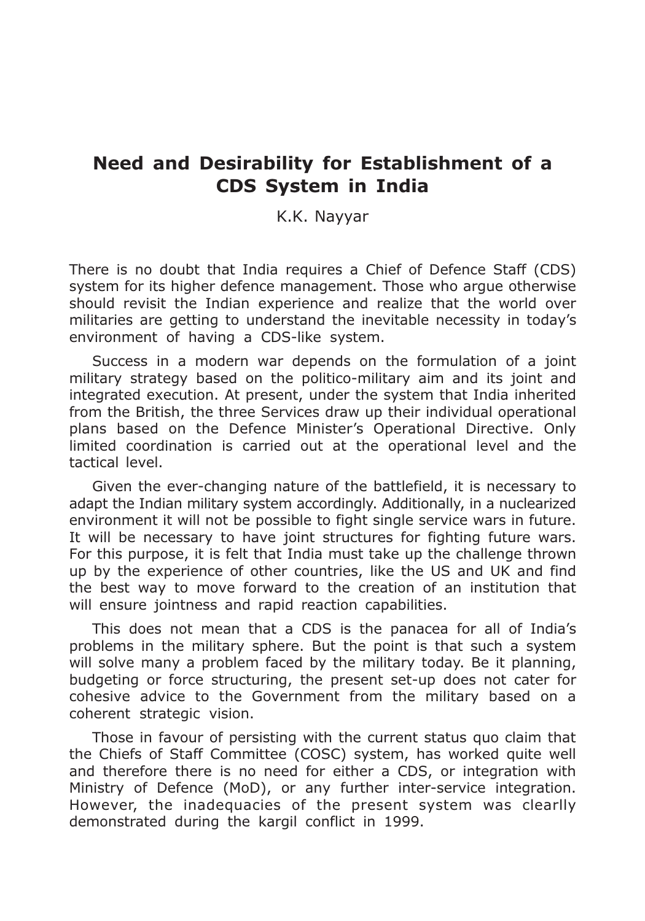# Need and Desirability for Establishment of a CDS System in India

K.K. Nayyar

There is no doubt that India requires a Chief of Defence Staff (CDS) system for its higher defence management. Those who argue otherwise should revisit the Indian experience and realize that the world over militaries are getting to understand the inevitable necessity in today's environment of having a CDS-like system.

Success in a modern war depends on the formulation of a joint military strategy based on the politico-military aim and its joint and integrated execution. At present, under the system that India inherited from the British, the three Services draw up their individual operational plans based on the Defence Minister's Operational Directive. Only limited coordination is carried out at the operational level and the tactical level.

Given the ever-changing nature of the battlefield, it is necessary to adapt the Indian military system accordingly. Additionally, in a nuclearized environment it will not be possible to fight single service wars in future. It will be necessary to have joint structures for fighting future wars. For this purpose, it is felt that India must take up the challenge thrown up by the experience of other countries, like the US and UK and find the best way to move forward to the creation of an institution that will ensure jointness and rapid reaction capabilities.

This does not mean that a CDS is the panacea for all of India's problems in the military sphere. But the point is that such a system will solve many a problem faced by the military today. Be it planning, budgeting or force structuring, the present set-up does not cater for cohesive advice to the Government from the military based on a coherent strategic vision.

Those in favour of persisting with the current status quo claim that the Chiefs of Staff Committee (COSC) system, has worked quite well and therefore there is no need for either a CDS, or integration with Ministry of Defence (MoD), or any further inter-service integration. However, the inadequacies of the present system was clearlly demonstrated during the kargil conflict in 1999.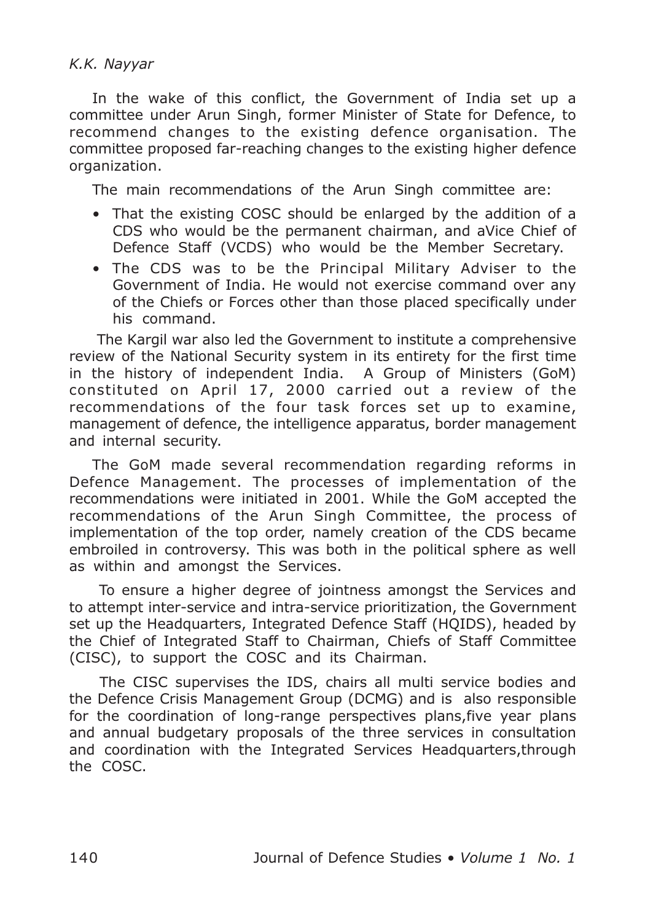# K.K. Nayyar

In the wake of this conflict, the Government of India set up a committee under Arun Singh, former Minister of State for Defence, to recommend changes to the existing defence organisation. The committee proposed far-reaching changes to the existing higher defence organization.

The main recommendations of the Arun Singh committee are:

- That the existing COSC should be enlarged by the addition of a CDS who would be the permanent chairman, and aVice Chief of Defence Staff (VCDS) who would be the Member Secretary.
- The CDS was to be the Principal Military Adviser to the Government of India. He would not exercise command over any of the Chiefs or Forces other than those placed specifically under his command.

 The Kargil war also led the Government to institute a comprehensive review of the National Security system in its entirety for the first time in the history of independent India. A Group of Ministers (GoM) constituted on April 17, 2000 carried out a review of the recommendations of the four task forces set up to examine, management of defence, the intelligence apparatus, border management and internal security.

The GoM made several recommendation regarding reforms in Defence Management. The processes of implementation of the recommendations were initiated in 2001. While the GoM accepted the recommendations of the Arun Singh Committee, the process of implementation of the top order, namely creation of the CDS became embroiled in controversy. This was both in the political sphere as well as within and amongst the Services.

 To ensure a higher degree of jointness amongst the Services and to attempt inter-service and intra-service prioritization, the Government set up the Headquarters, Integrated Defence Staff (HQIDS), headed by the Chief of Integrated Staff to Chairman, Chiefs of Staff Committee (CISC), to support the COSC and its Chairman.

 The CISC supervises the IDS, chairs all multi service bodies and the Defence Crisis Management Group (DCMG) and is also responsible for the coordination of long-range perspectives plans,five year plans and annual budgetary proposals of the three services in consultation and coordination with the Integrated Services Headquarters,through the COSC.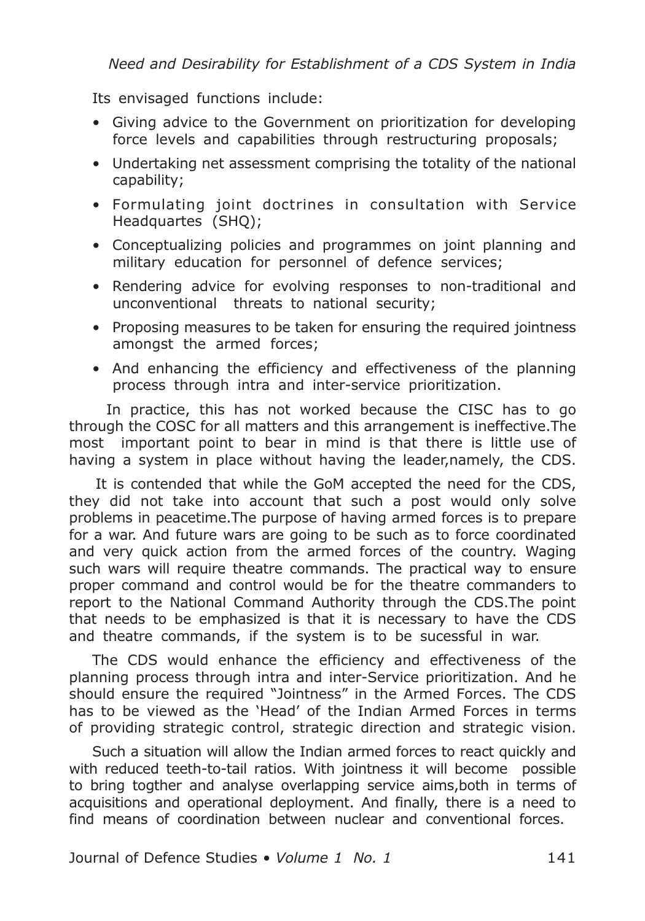Its envisaged functions include:

- Giving advice to the Government on prioritization for developing force levels and capabilities through restructuring proposals;
- Undertaking net assessment comprising the totality of the national capability;
- Formulating joint doctrines in consultation with Service Headquartes (SHQ);
- Conceptualizing policies and programmes on joint planning and military education for personnel of defence services;
- Rendering advice for evolving responses to non-traditional and unconventional threats to national security;
- Proposing measures to be taken for ensuring the required jointness amongst the armed forces;
- And enhancing the efficiency and effectiveness of the planning process through intra and inter-service prioritization.

 In practice, this has not worked because the CISC has to go through the COSC for all matters and this arrangement is ineffective.The most important point to bear in mind is that there is little use of having a system in place without having the leader,namely, the CDS.

 It is contended that while the GoM accepted the need for the CDS, they did not take into account that such a post would only solve problems in peacetime.The purpose of having armed forces is to prepare for a war. And future wars are going to be such as to force coordinated and very quick action from the armed forces of the country. Waging such wars will require theatre commands. The practical way to ensure proper command and control would be for the theatre commanders to report to the National Command Authority through the CDS.The point that needs to be emphasized is that it is necessary to have the CDS and theatre commands, if the system is to be sucessful in war.

The CDS would enhance the efficiency and effectiveness of the planning process through intra and inter-Service prioritization. And he should ensure the required "Jointness" in the Armed Forces. The CDS has to be viewed as the 'Head' of the Indian Armed Forces in terms of providing strategic control, strategic direction and strategic vision.

Such a situation will allow the Indian armed forces to react quickly and with reduced teeth-to-tail ratios. With jointness it will become possible to bring togther and analyse overlapping service aims,both in terms of acquisitions and operational deployment. And finally, there is a need to find means of coordination between nuclear and conventional forces.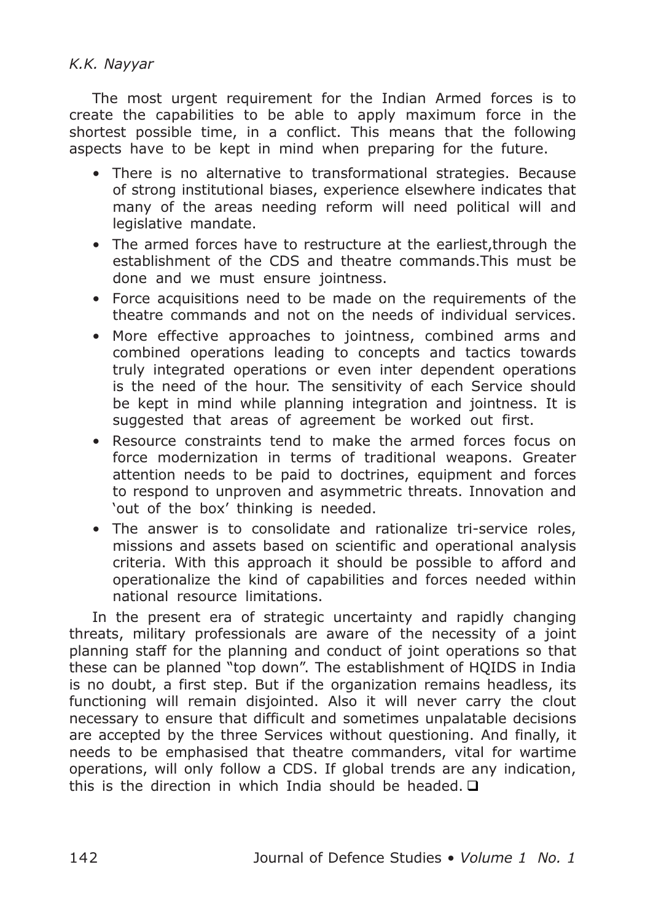# K.K. Nayyar

The most urgent requirement for the Indian Armed forces is to create the capabilities to be able to apply maximum force in the shortest possible time, in a conflict. This means that the following aspects have to be kept in mind when preparing for the future.

- There is no alternative to transformational strategies. Because of strong institutional biases, experience elsewhere indicates that many of the areas needing reform will need political will and legislative mandate.
- The armed forces have to restructure at the earliest,through the establishment of the CDS and theatre commands.This must be done and we must ensure jointness.
- Force acquisitions need to be made on the requirements of the theatre commands and not on the needs of individual services.
- More effective approaches to jointness, combined arms and combined operations leading to concepts and tactics towards truly integrated operations or even inter dependent operations is the need of the hour. The sensitivity of each Service should be kept in mind while planning integration and jointness. It is suggested that areas of agreement be worked out first.
- Resource constraints tend to make the armed forces focus on force modernization in terms of traditional weapons. Greater attention needs to be paid to doctrines, equipment and forces to respond to unproven and asymmetric threats. Innovation and 'out of the box' thinking is needed.
- The answer is to consolidate and rationalize tri-service roles, missions and assets based on scientific and operational analysis criteria. With this approach it should be possible to afford and operationalize the kind of capabilities and forces needed within national resource limitations.

In the present era of strategic uncertainty and rapidly changing threats, military professionals are aware of the necessity of a joint planning staff for the planning and conduct of joint operations so that these can be planned "top down". The establishment of HQIDS in India is no doubt, a first step. But if the organization remains headless, its functioning will remain disjointed. Also it will never carry the clout necessary to ensure that difficult and sometimes unpalatable decisions are accepted by the three Services without questioning. And finally, it needs to be emphasised that theatre commanders, vital for wartime operations, will only follow a CDS. If global trends are any indication, this is the direction in which India should be headed.  $\Box$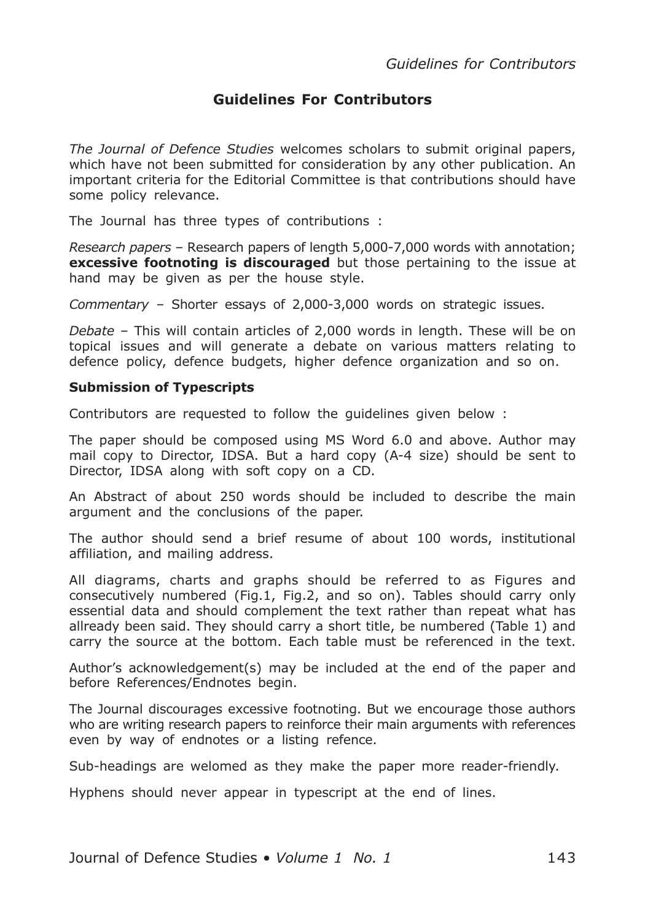## Guidelines For Contributors

The Journal of Defence Studies welcomes scholars to submit original papers, which have not been submitted for consideration by any other publication. An important criteria for the Editorial Committee is that contributions should have some policy relevance.

The Journal has three types of contributions :

Research papers – Research papers of length 5,000-7,000 words with annotation; **excessive footnoting is discouraged** but those pertaining to the issue at hand may be given as per the house style.

Commentary – Shorter essays of 2,000-3,000 words on strategic issues.

Debate – This will contain articles of 2,000 words in length. These will be on topical issues and will generate a debate on various matters relating to defence policy, defence budgets, higher defence organization and so on.

#### Submission of Typescripts

Contributors are requested to follow the guidelines given below :

The paper should be composed using MS Word 6.0 and above. Author may mail copy to Director, IDSA. But a hard copy (A-4 size) should be sent to Director, IDSA along with soft copy on a CD.

An Abstract of about 250 words should be included to describe the main argument and the conclusions of the paper.

The author should send a brief resume of about 100 words, institutional affiliation, and mailing address.

All diagrams, charts and graphs should be referred to as Figures and consecutively numbered (Fig.1, Fig.2, and so on). Tables should carry only essential data and should complement the text rather than repeat what has allready been said. They should carry a short title, be numbered (Table 1) and carry the source at the bottom. Each table must be referenced in the text.

Author's acknowledgement(s) may be included at the end of the paper and before References/Endnotes begin.

The Journal discourages excessive footnoting. But we encourage those authors who are writing research papers to reinforce their main arguments with references even by way of endnotes or a listing refence.

Sub-headings are welomed as they make the paper more reader-friendly.

Hyphens should never appear in typescript at the end of lines.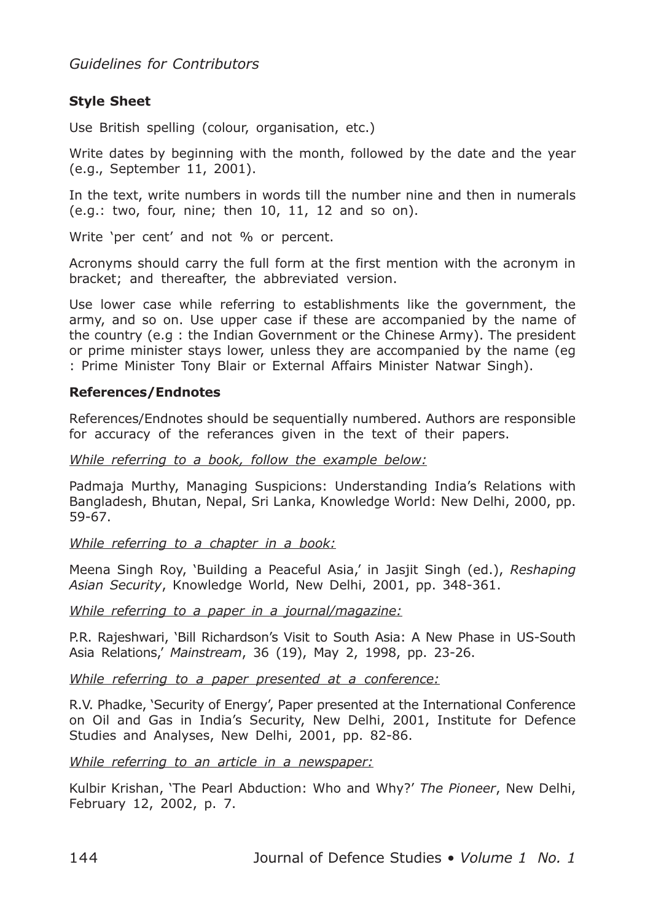Guidelines for Contributors

## Style Sheet

Use British spelling (colour, organisation, etc.)

Write dates by beginning with the month, followed by the date and the year (e.g., September 11, 2001).

In the text, write numbers in words till the number nine and then in numerals  $(e.q.: two, four, nine; then 10, 11, 12, and so on).$ 

Write 'per cent' and not % or percent.

Acronyms should carry the full form at the first mention with the acronym in bracket; and thereafter, the abbreviated version.

Use lower case while referring to establishments like the government, the army, and so on. Use upper case if these are accompanied by the name of the country (e.g : the Indian Government or the Chinese Army). The president or prime minister stays lower, unless they are accompanied by the name (eg : Prime Minister Tony Blair or External Affairs Minister Natwar Singh).

### References/Endnotes

References/Endnotes should be sequentially numbered. Authors are responsible for accuracy of the referances given in the text of their papers.

While referring to a book, follow the example below:

Padmaja Murthy, Managing Suspicions: Understanding India's Relations with Bangladesh, Bhutan, Nepal, Sri Lanka, Knowledge World: New Delhi, 2000, pp. 59-67.

While referring to a chapter in a book:

Meena Singh Roy, 'Building a Peaceful Asia,' in Jasjit Singh (ed.), Reshaping Asian Security, Knowledge World, New Delhi, 2001, pp. 348-361.

While referring to a paper in a journal/magazine:

P.R. Rajeshwari, 'Bill Richardson's Visit to South Asia: A New Phase in US-South Asia Relations,' Mainstream, 36 (19), May 2, 1998, pp. 23-26.

While referring to a paper presented at a conference:

R.V. Phadke, 'Security of Energy', Paper presented at the International Conference on Oil and Gas in India's Security, New Delhi, 2001, Institute for Defence Studies and Analyses, New Delhi, 2001, pp. 82-86.

While referring to an article in a newspaper:

Kulbir Krishan, 'The Pearl Abduction: Who and Why?' The Pioneer, New Delhi, February 12, 2002, p. 7.